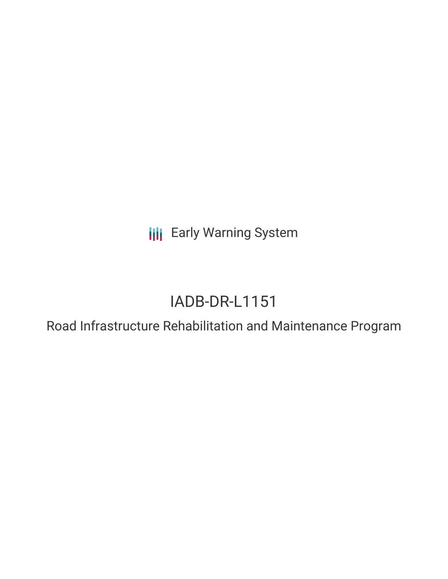**III** Early Warning System

# IADB-DR-L1151

Road Infrastructure Rehabilitation and Maintenance Program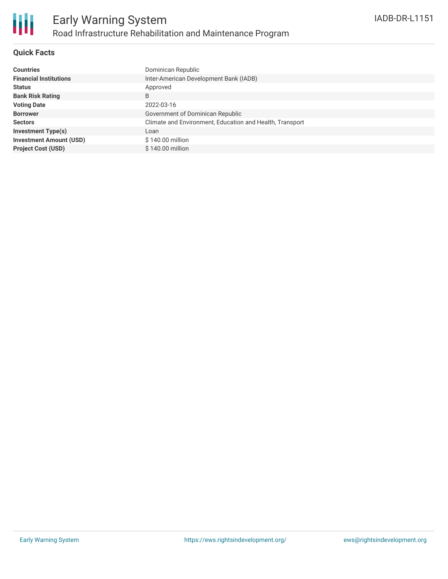

#### **Quick Facts**

| <b>Countries</b>               | Dominican Republic                                       |
|--------------------------------|----------------------------------------------------------|
| <b>Financial Institutions</b>  | Inter-American Development Bank (IADB)                   |
| <b>Status</b>                  | Approved                                                 |
| <b>Bank Risk Rating</b>        | B                                                        |
| <b>Voting Date</b>             | 2022-03-16                                               |
| <b>Borrower</b>                | Government of Dominican Republic                         |
| <b>Sectors</b>                 | Climate and Environment, Education and Health, Transport |
| <b>Investment Type(s)</b>      | Loan                                                     |
| <b>Investment Amount (USD)</b> | \$140.00 million                                         |
| <b>Project Cost (USD)</b>      | \$140.00 million                                         |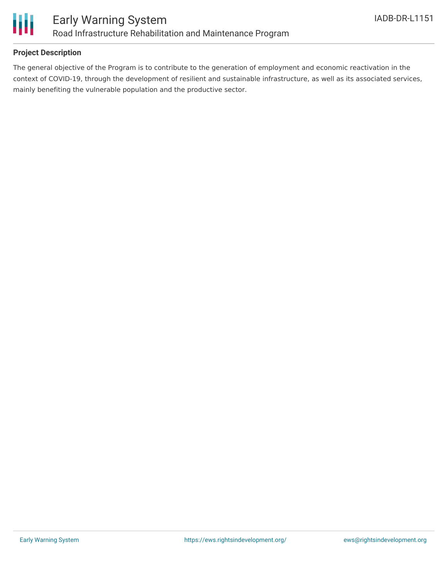

#### **Project Description**

The general objective of the Program is to contribute to the generation of employment and economic reactivation in the context of COVID-19, through the development of resilient and sustainable infrastructure, as well as its associated services, mainly benefiting the vulnerable population and the productive sector.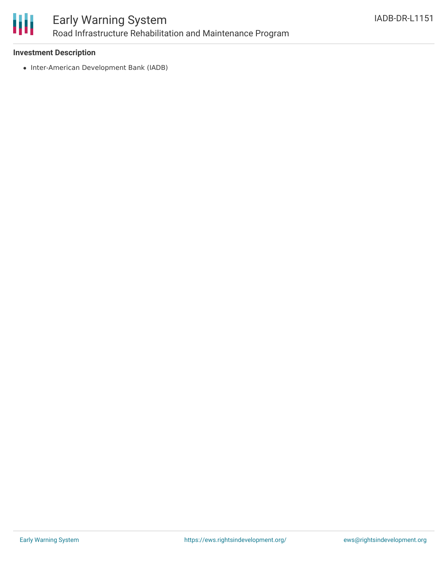

## Early Warning System Road Infrastructure Rehabilitation and Maintenance Program

#### **Investment Description**

• Inter-American Development Bank (IADB)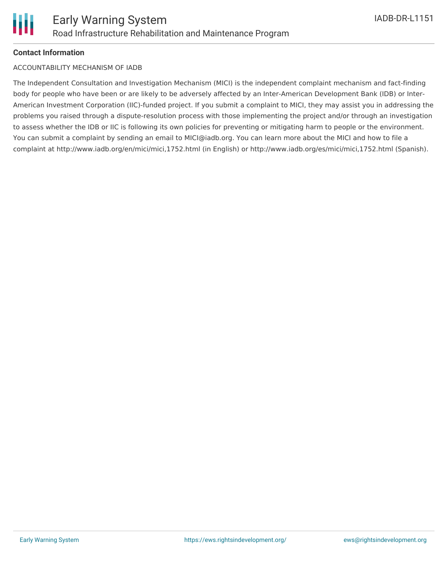#### **Contact Information**

#### ACCOUNTABILITY MECHANISM OF IADB

The Independent Consultation and Investigation Mechanism (MICI) is the independent complaint mechanism and fact-finding body for people who have been or are likely to be adversely affected by an Inter-American Development Bank (IDB) or Inter-American Investment Corporation (IIC)-funded project. If you submit a complaint to MICI, they may assist you in addressing the problems you raised through a dispute-resolution process with those implementing the project and/or through an investigation to assess whether the IDB or IIC is following its own policies for preventing or mitigating harm to people or the environment. You can submit a complaint by sending an email to MICI@iadb.org. You can learn more about the MICI and how to file a complaint at http://www.iadb.org/en/mici/mici,1752.html (in English) or http://www.iadb.org/es/mici/mici,1752.html (Spanish).